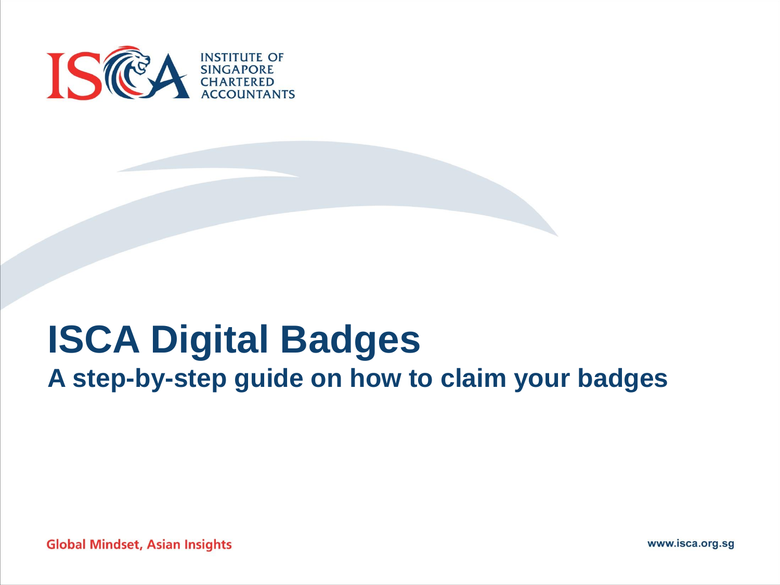

# **ISCA Digital Badges A step-by-step guide on how to claim your badges**

**Global Mindset, Asian Insights** 

www.isca.org.sg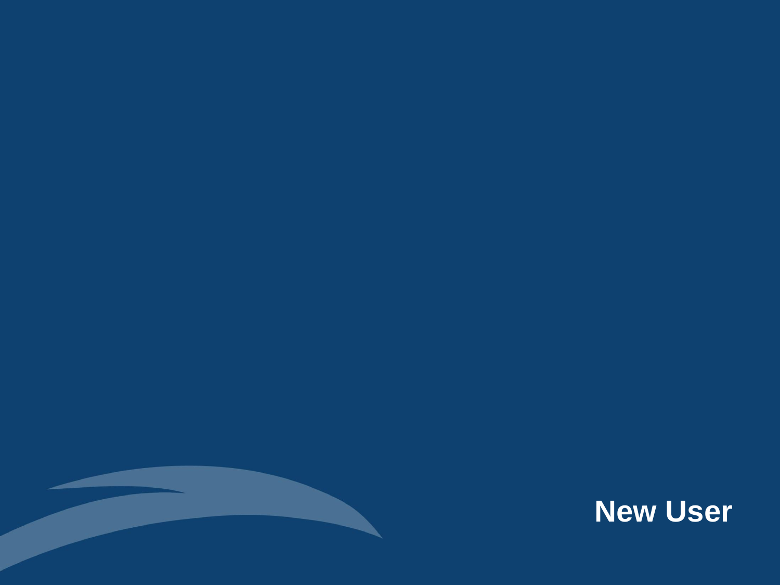

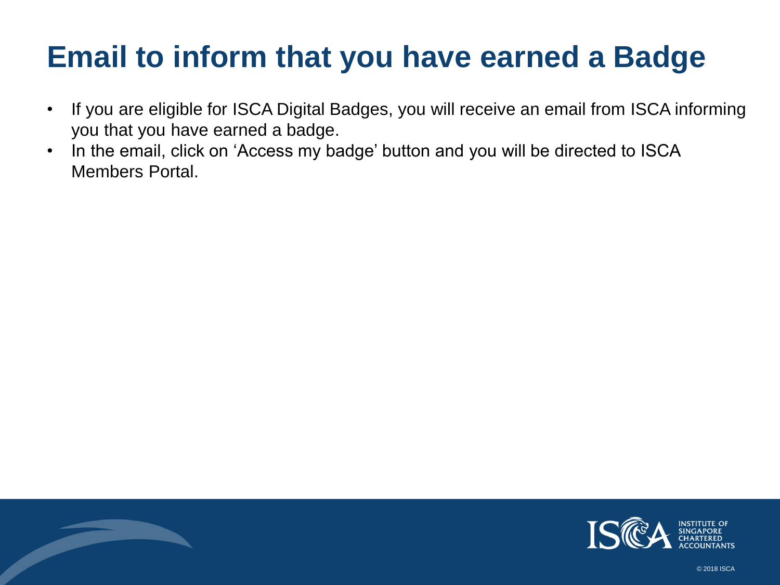### **Email to inform that you have earned a Badge**

- If you are eligible for ISCA Digital Badges, you will receive an email from ISCA informing you that you have earned a badge.
- In the email, click on 'Access my badge' button and you will be directed to ISCA Members Portal.

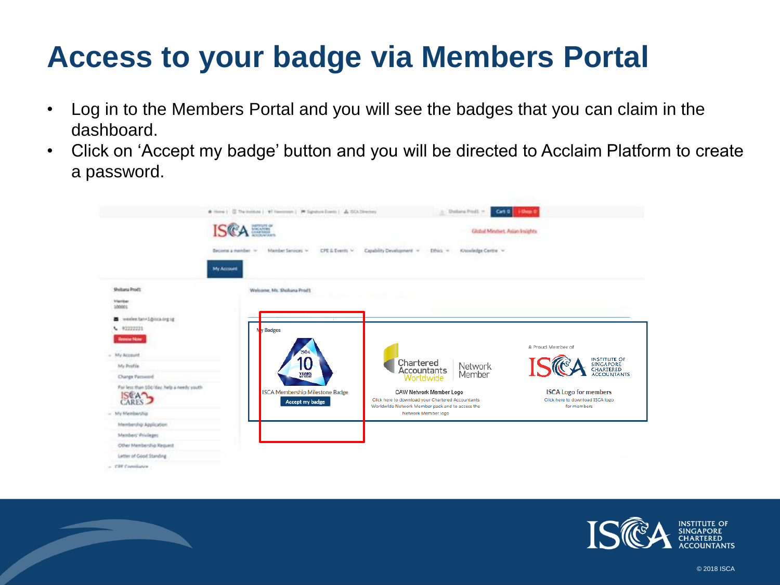### **Access to your badge via Members Portal**

- Log in to the Members Portal and you will see the badges that you can claim in the dashboard.
- Click on 'Accept my badge' button and you will be directed to Acclaim Platform to create a password.



 $-$  CRF Completes

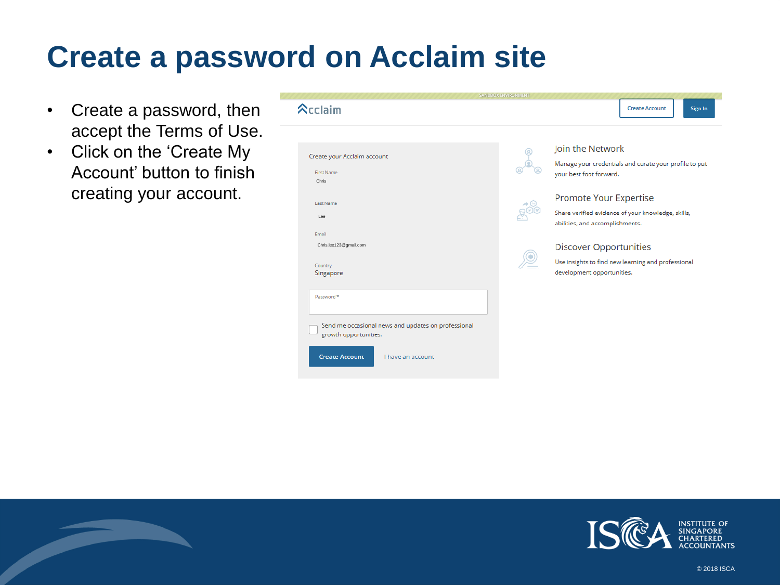#### **Create a password on Acclaim site**

- Create a password, then accept the Terms of Use.
- Click on the 'Create My Account' button to finish creating your account.

|                                                                              | SANDBOX ENVIRONMENT |                                                                                       |  |  |  |  |  |  |  |  |  |  |
|------------------------------------------------------------------------------|---------------------|---------------------------------------------------------------------------------------|--|--|--|--|--|--|--|--|--|--|
| $\lambda$ cclaim                                                             |                     | <b>Create Account</b><br>Sign In                                                      |  |  |  |  |  |  |  |  |  |  |
|                                                                              |                     |                                                                                       |  |  |  |  |  |  |  |  |  |  |
| Create your Acclaim account                                                  |                     | Join the Network                                                                      |  |  |  |  |  |  |  |  |  |  |
| <b>First Name</b><br>Chris                                                   |                     | Manage your credentials and curate your profile to put<br>your best foot forward.     |  |  |  |  |  |  |  |  |  |  |
| Last Name                                                                    |                     | Promote Your Expertise                                                                |  |  |  |  |  |  |  |  |  |  |
| 168                                                                          |                     | Share verified evidence of your knowledge, skills,<br>abilities, and accomplishments. |  |  |  |  |  |  |  |  |  |  |
| Email                                                                        |                     |                                                                                       |  |  |  |  |  |  |  |  |  |  |
| Chris.lee123@gmail.com                                                       |                     | <b>Discover Opportunities</b>                                                         |  |  |  |  |  |  |  |  |  |  |
| Country<br>Singapore                                                         |                     | Use insights to find new learning and professional<br>development opportunities.      |  |  |  |  |  |  |  |  |  |  |
| Password *                                                                   |                     |                                                                                       |  |  |  |  |  |  |  |  |  |  |
| Send me occasional news and updates on professional<br>growth opportunities. |                     |                                                                                       |  |  |  |  |  |  |  |  |  |  |
| <b>Create Account</b><br>I have an account                                   |                     |                                                                                       |  |  |  |  |  |  |  |  |  |  |
|                                                                              |                     |                                                                                       |  |  |  |  |  |  |  |  |  |  |

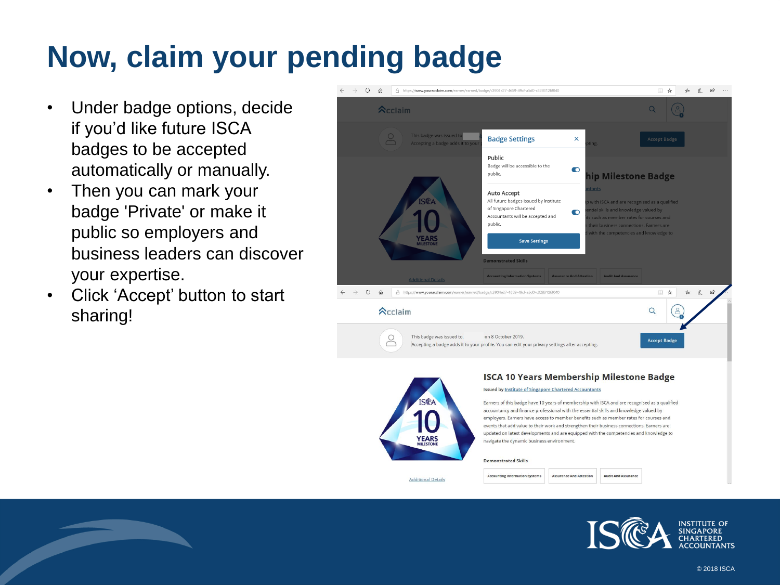# **Now, claim your pending badge**

- Under badge options, decide if you'd like future ISCA badges to be accepted automatically or manually.
- Then you can mark your badge 'Private' or make it public so employers and business leaders can discover your expertise.
- Click 'Accept' button to start sharing!



**Accounting Information System** 

**Additional Details** 

**Assurance And Attestion** 

**Audit And Assurance** 

ISTITUTE OF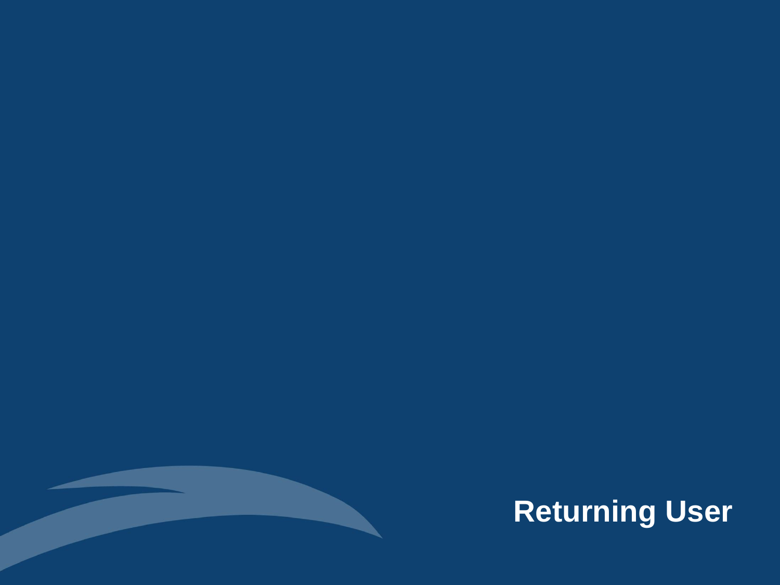

# **Returning User**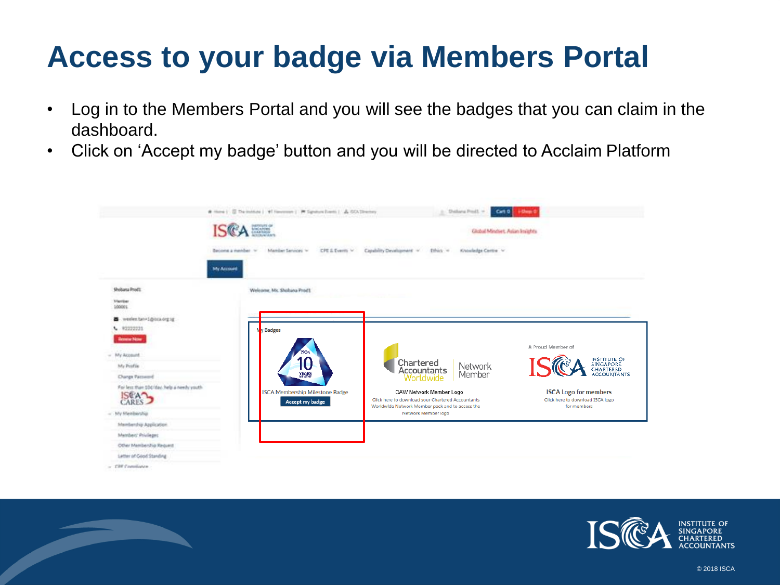### **Access to your badge via Members Portal**

- Log in to the Members Portal and you will see the badges that you can claim in the dashboard.
- Click on 'Accept my badge' button and you will be directed to Acclaim Platform



 $-$  CRF Completes

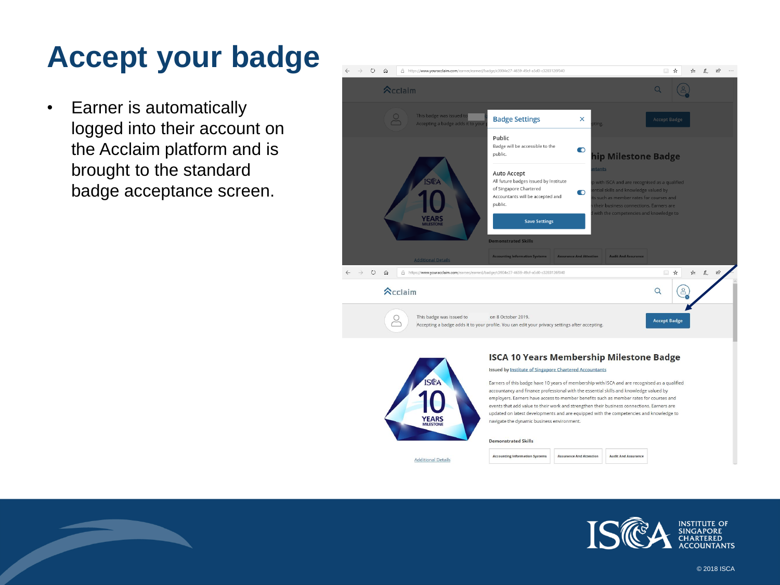### **Accept your badge**

• Earner is automatically logged into their account on the Acclaim platform and is brought to the standard badge acceptance screen.





**Additional Details** 

#### **ISCA 10 Years Membership Milestone Badge**

#### **Issued by Institute of Singapore Chartered Accountants**

Earners of this badge have 10 years of membership with ISCA and are recognised as a qualified accountancy and finance professional with the essential skills and knowledge valued by employers. Earners have access to member benefits such as member rates for courses and events that add value to their work and strengthen their business connections. Earners are updated on latest developments and are equipped with the competencies and knowledge to navigate the dynamic business environment.

**Audit And Assurance** 

#### **Demonstrated Skills**

**Accounting Information Systems Assurance And Attestion**